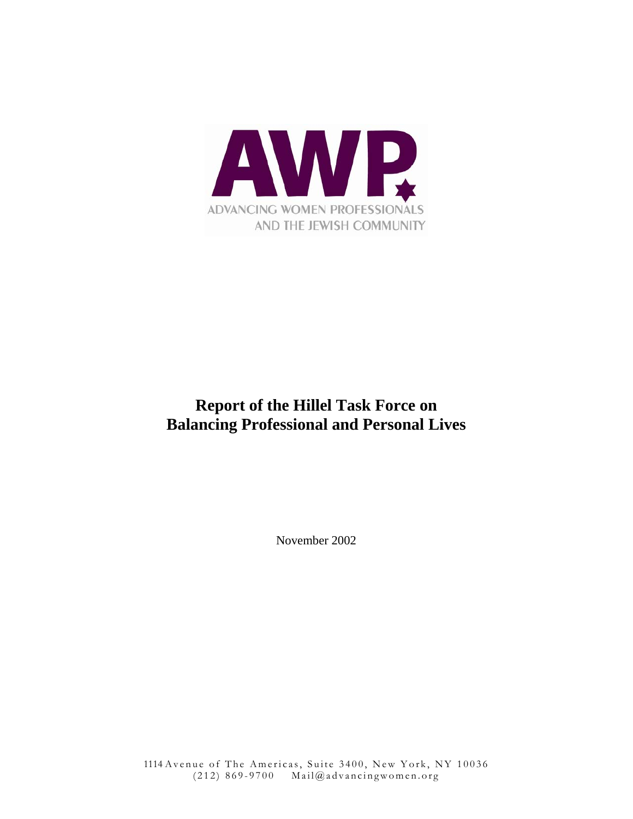

# **Report of the Hillel Task Force on Balancing Professional and Personal Lives**

November 2002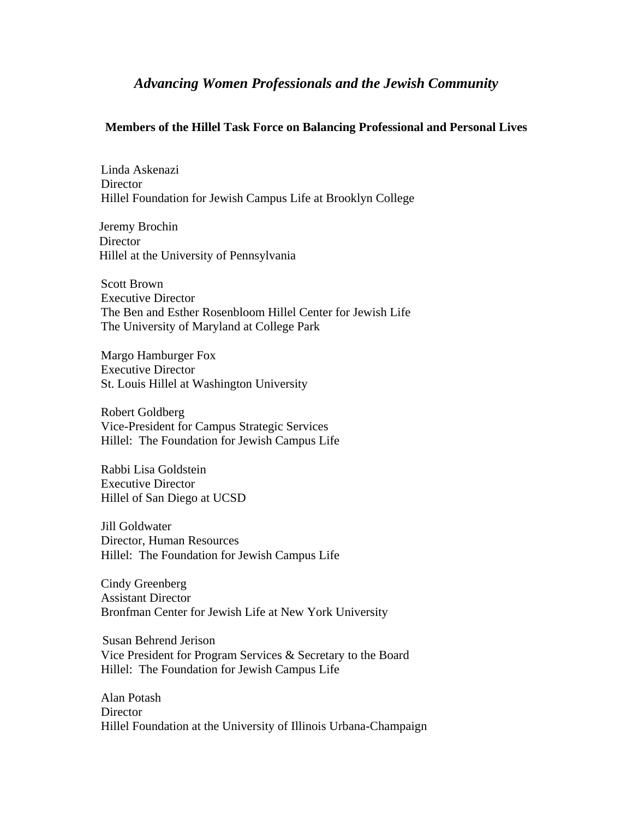# *Advancing Women Professionals and the Jewish Community*

#### **Members of the Hillel Task Force on Balancing Professional and Personal Lives**

Linda Askenazi **Director** Hillel Foundation for Jewish Campus Life at Brooklyn College

 Jeremy Brochin **Director** Hillel at the University of Pennsylvania

Scott Brown Executive Director The Ben and Esther Rosenbloom Hillel Center for Jewish Life The University of Maryland at College Park

Margo Hamburger Fox Executive Director St. Louis Hillel at Washington University

Robert Goldberg Vice-President for Campus Strategic Services Hillel: The Foundation for Jewish Campus Life

Rabbi Lisa Goldstein Executive Director Hillel of San Diego at UCSD

Jill Goldwater Director, Human Resources Hillel: The Foundation for Jewish Campus Life

Cindy Greenberg Assistant Director Bronfman Center for Jewish Life at New York University

 Susan Behrend Jerison Vice President for Program Services & Secretary to the Board Hillel: The Foundation for Jewish Campus Life

Alan Potash **Director** Hillel Foundation at the University of Illinois Urbana-Champaign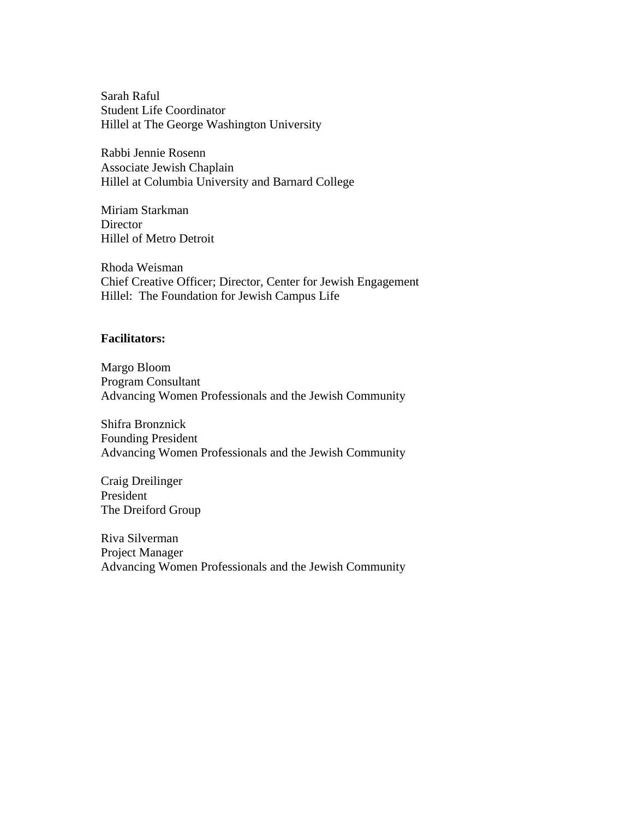Sarah Raful Student Life Coordinator Hillel at The George Washington University

Rabbi Jennie Rosenn Associate Jewish Chaplain Hillel at Columbia University and Barnard College

Miriam Starkman **Director** Hillel of Metro Detroit

Rhoda Weisman Chief Creative Officer; Director, Center for Jewish Engagement Hillel: The Foundation for Jewish Campus Life

#### **Facilitators:**

Margo Bloom Program Consultant Advancing Women Professionals and the Jewish Community

Shifra Bronznick Founding President Advancing Women Professionals and the Jewish Community

Craig Dreilinger President The Dreiford Group

Riva Silverman Project Manager Advancing Women Professionals and the Jewish Community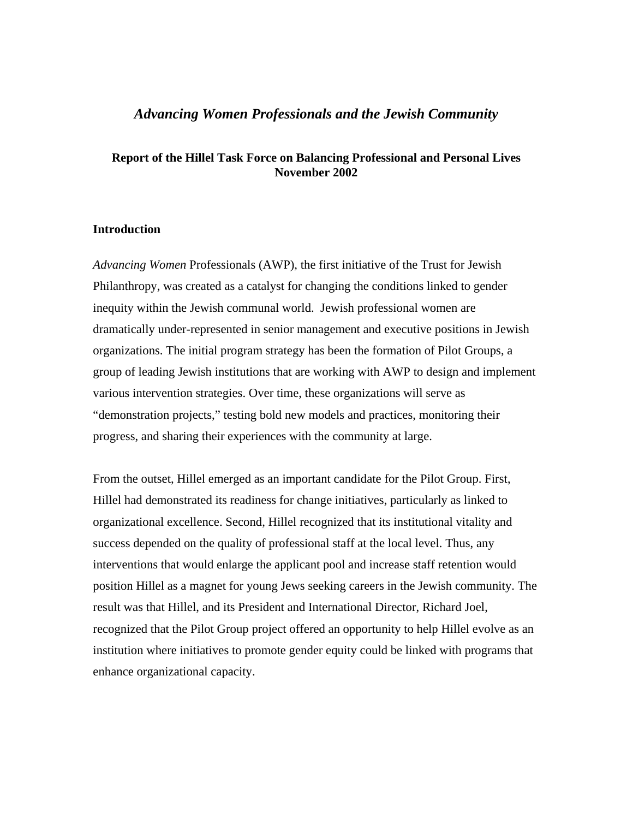# *Advancing Women Professionals and the Jewish Community*

#### **Report of the Hillel Task Force on Balancing Professional and Personal Lives November 2002**

#### **Introduction**

*Advancing Women* Professionals (AWP), the first initiative of the Trust for Jewish Philanthropy, was created as a catalyst for changing the conditions linked to gender inequity within the Jewish communal world. Jewish professional women are dramatically under-represented in senior management and executive positions in Jewish organizations. The initial program strategy has been the formation of Pilot Groups, a group of leading Jewish institutions that are working with AWP to design and implement various intervention strategies. Over time, these organizations will serve as "demonstration projects," testing bold new models and practices, monitoring their progress, and sharing their experiences with the community at large.

From the outset, Hillel emerged as an important candidate for the Pilot Group. First, Hillel had demonstrated its readiness for change initiatives, particularly as linked to organizational excellence. Second, Hillel recognized that its institutional vitality and success depended on the quality of professional staff at the local level. Thus, any interventions that would enlarge the applicant pool and increase staff retention would position Hillel as a magnet for young Jews seeking careers in the Jewish community. The result was that Hillel, and its President and International Director, Richard Joel, recognized that the Pilot Group project offered an opportunity to help Hillel evolve as an institution where initiatives to promote gender equity could be linked with programs that enhance organizational capacity.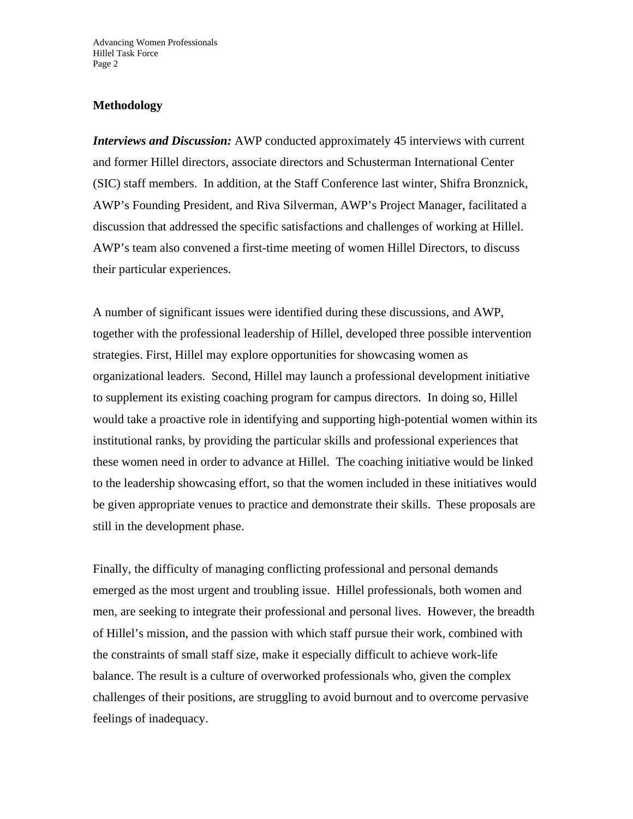## **Methodology**

*Interviews and Discussion:* AWP conducted approximately 45 interviews with current and former Hillel directors, associate directors and Schusterman International Center (SIC) staff members. In addition, at the Staff Conference last winter, Shifra Bronznick, AWP's Founding President, and Riva Silverman, AWP's Project Manager, facilitated a discussion that addressed the specific satisfactions and challenges of working at Hillel. AWP's team also convened a first-time meeting of women Hillel Directors, to discuss their particular experiences.

A number of significant issues were identified during these discussions, and AWP, together with the professional leadership of Hillel, developed three possible intervention strategies. First, Hillel may explore opportunities for showcasing women as organizational leaders. Second, Hillel may launch a professional development initiative to supplement its existing coaching program for campus directors. In doing so, Hillel would take a proactive role in identifying and supporting high-potential women within its institutional ranks, by providing the particular skills and professional experiences that these women need in order to advance at Hillel. The coaching initiative would be linked to the leadership showcasing effort, so that the women included in these initiatives would be given appropriate venues to practice and demonstrate their skills. These proposals are still in the development phase.

Finally, the difficulty of managing conflicting professional and personal demands emerged as the most urgent and troubling issue. Hillel professionals, both women and men, are seeking to integrate their professional and personal lives. However, the breadth of Hillel's mission, and the passion with which staff pursue their work, combined with the constraints of small staff size, make it especially difficult to achieve work-life balance. The result is a culture of overworked professionals who, given the complex challenges of their positions, are struggling to avoid burnout and to overcome pervasive feelings of inadequacy.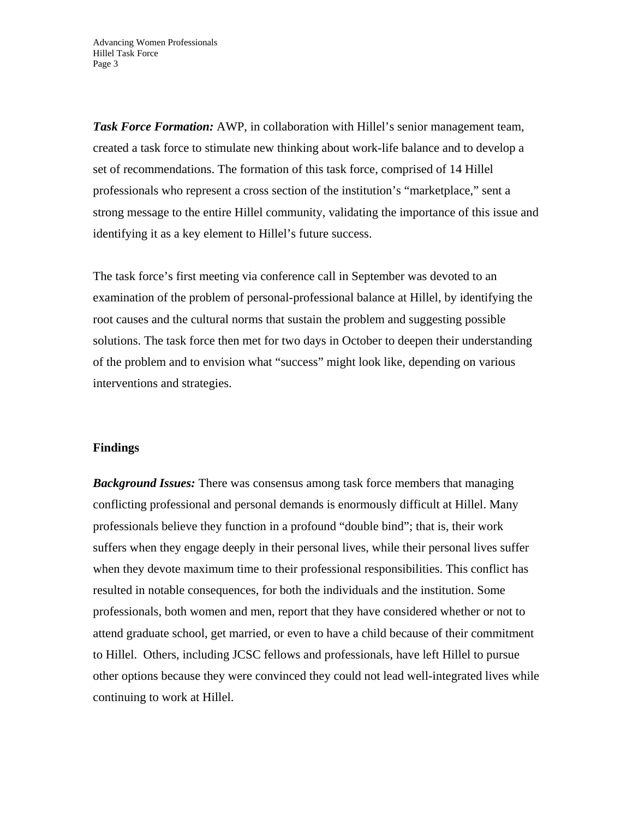*Task Force Formation:* AWP, in collaboration with Hillel's senior management team, created a task force to stimulate new thinking about work-life balance and to develop a set of recommendations. The formation of this task force, comprised of 14 Hillel professionals who represent a cross section of the institution's "marketplace," sent a strong message to the entire Hillel community, validating the importance of this issue and identifying it as a key element to Hillel's future success.

The task force's first meeting via conference call in September was devoted to an examination of the problem of personal-professional balance at Hillel, by identifying the root causes and the cultural norms that sustain the problem and suggesting possible solutions. The task force then met for two days in October to deepen their understanding of the problem and to envision what "success" might look like, depending on various interventions and strategies.

#### **Findings**

*Background Issues:* There was consensus among task force members that managing conflicting professional and personal demands is enormously difficult at Hillel. Many professionals believe they function in a profound "double bind"; that is, their work suffers when they engage deeply in their personal lives, while their personal lives suffer when they devote maximum time to their professional responsibilities. This conflict has resulted in notable consequences, for both the individuals and the institution. Some professionals, both women and men, report that they have considered whether or not to attend graduate school, get married, or even to have a child because of their commitment to Hillel. Others, including JCSC fellows and professionals, have left Hillel to pursue other options because they were convinced they could not lead well-integrated lives while continuing to work at Hillel.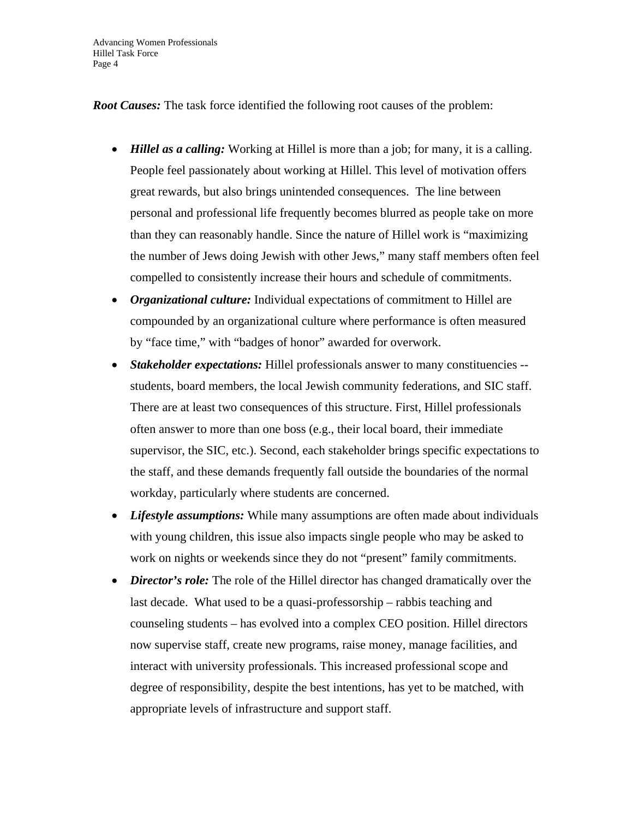Advancing Women Professionals Hillel Task Force Page 4

*Root Causes:* The task force identified the following root causes of the problem:

- *Hillel as a calling:* Working at Hillel is more than a job; for many, it is a calling. People feel passionately about working at Hillel. This level of motivation offers great rewards, but also brings unintended consequences. The line between personal and professional life frequently becomes blurred as people take on more than they can reasonably handle. Since the nature of Hillel work is "maximizing the number of Jews doing Jewish with other Jews," many staff members often feel compelled to consistently increase their hours and schedule of commitments.
- *Organizational culture:* Individual expectations of commitment to Hillel are compounded by an organizational culture where performance is often measured by "face time," with "badges of honor" awarded for overwork.
- *Stakeholder expectations:* Hillel professionals answer to many constituencies students, board members, the local Jewish community federations, and SIC staff. There are at least two consequences of this structure. First, Hillel professionals often answer to more than one boss (e.g., their local board, their immediate supervisor, the SIC, etc.). Second, each stakeholder brings specific expectations to the staff, and these demands frequently fall outside the boundaries of the normal workday, particularly where students are concerned.
- *Lifestyle assumptions:* While many assumptions are often made about individuals with young children, this issue also impacts single people who may be asked to work on nights or weekends since they do not "present" family commitments.
- *Director's role:* The role of the Hillel director has changed dramatically over the last decade. What used to be a quasi-professorship – rabbis teaching and counseling students – has evolved into a complex CEO position. Hillel directors now supervise staff, create new programs, raise money, manage facilities, and interact with university professionals. This increased professional scope and degree of responsibility, despite the best intentions, has yet to be matched, with appropriate levels of infrastructure and support staff.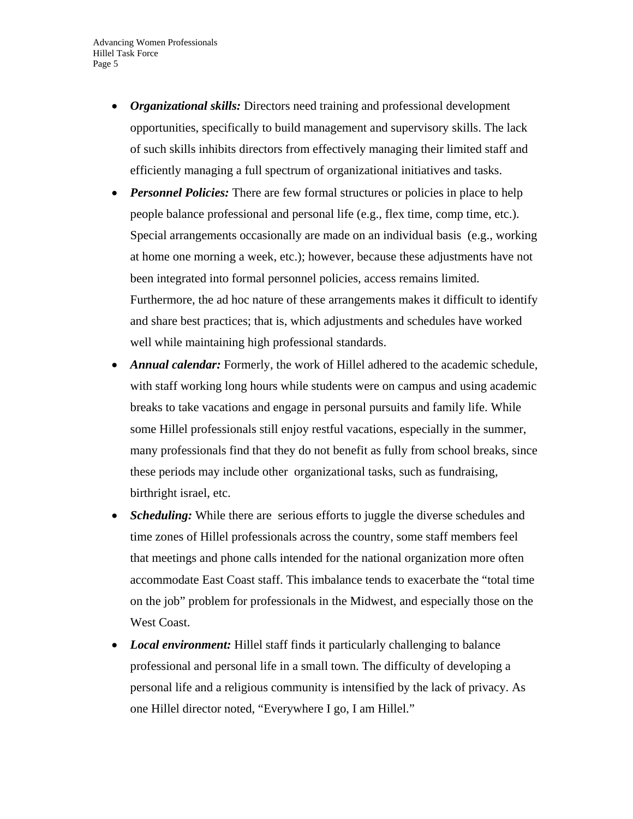- *Organizational skills:* Directors need training and professional development opportunities, specifically to build management and supervisory skills. The lack of such skills inhibits directors from effectively managing their limited staff and efficiently managing a full spectrum of organizational initiatives and tasks.
- *Personnel Policies:* There are few formal structures or policies in place to help people balance professional and personal life (e.g., flex time, comp time, etc.). Special arrangements occasionally are made on an individual basis (e.g., working at home one morning a week, etc.); however, because these adjustments have not been integrated into formal personnel policies, access remains limited. Furthermore, the ad hoc nature of these arrangements makes it difficult to identify and share best practices; that is, which adjustments and schedules have worked well while maintaining high professional standards.
- *Annual calendar:* Formerly, the work of Hillel adhered to the academic schedule, with staff working long hours while students were on campus and using academic breaks to take vacations and engage in personal pursuits and family life. While some Hillel professionals still enjoy restful vacations, especially in the summer, many professionals find that they do not benefit as fully from school breaks, since these periods may include other organizational tasks, such as fundraising, birthright israel, etc.
- *Scheduling:* While there are serious efforts to juggle the diverse schedules and time zones of Hillel professionals across the country, some staff members feel that meetings and phone calls intended for the national organization more often accommodate East Coast staff. This imbalance tends to exacerbate the "total time on the job" problem for professionals in the Midwest, and especially those on the West Coast.
- *Local environment:* Hillel staff finds it particularly challenging to balance professional and personal life in a small town. The difficulty of developing a personal life and a religious community is intensified by the lack of privacy. As one Hillel director noted, "Everywhere I go, I am Hillel."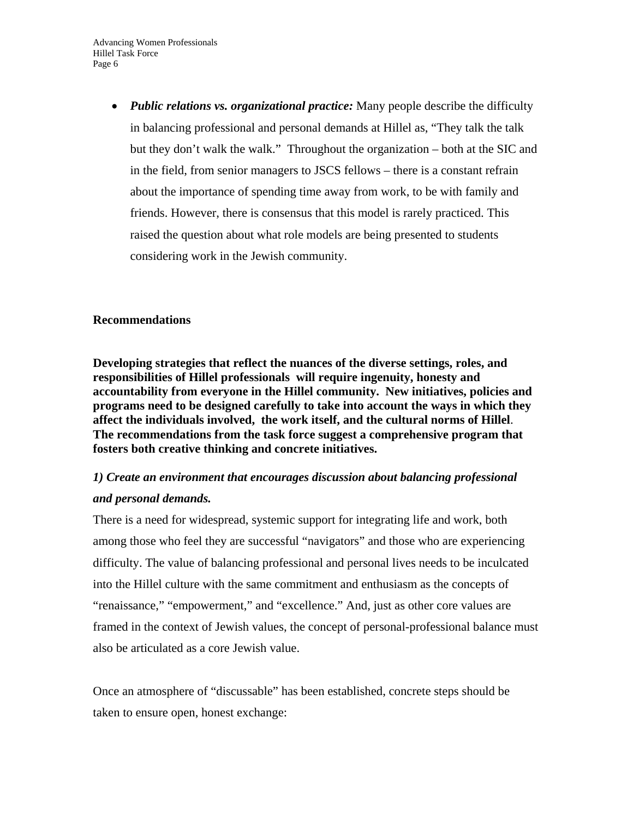*Public relations vs. organizational practice:* Many people describe the difficulty in balancing professional and personal demands at Hillel as, "They talk the talk but they don't walk the walk." Throughout the organization – both at the SIC and in the field, from senior managers to JSCS fellows – there is a constant refrain about the importance of spending time away from work, to be with family and friends. However, there is consensus that this model is rarely practiced. This raised the question about what role models are being presented to students considering work in the Jewish community.

### **Recommendations**

**Developing strategies that reflect the nuances of the diverse settings, roles, and responsibilities of Hillel professionals will require ingenuity, honesty and accountability from everyone in the Hillel community. New initiatives, policies and programs need to be designed carefully to take into account the ways in which they affect the individuals involved, the work itself, and the cultural norms of Hillel**. **The recommendations from the task force suggest a comprehensive program that fosters both creative thinking and concrete initiatives.** 

# *1) Create an environment that encourages discussion about balancing professional and personal demands.*

There is a need for widespread, systemic support for integrating life and work, both among those who feel they are successful "navigators" and those who are experiencing difficulty. The value of balancing professional and personal lives needs to be inculcated into the Hillel culture with the same commitment and enthusiasm as the concepts of "renaissance," "empowerment," and "excellence." And, just as other core values are framed in the context of Jewish values, the concept of personal-professional balance must also be articulated as a core Jewish value.

Once an atmosphere of "discussable" has been established, concrete steps should be taken to ensure open, honest exchange: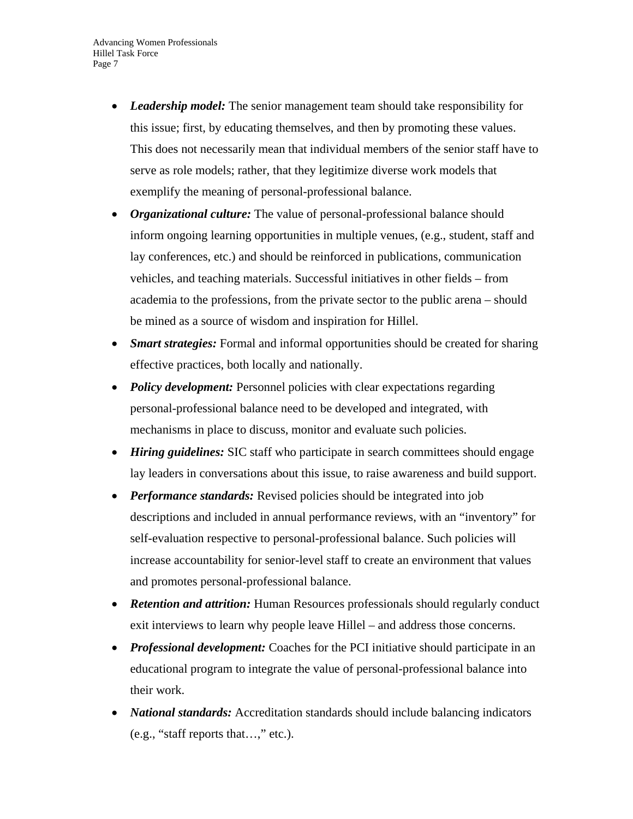- *Leadership model:* The senior management team should take responsibility for this issue; first, by educating themselves, and then by promoting these values. This does not necessarily mean that individual members of the senior staff have to serve as role models; rather, that they legitimize diverse work models that exemplify the meaning of personal-professional balance.
- *Organizational culture:* The value of personal-professional balance should inform ongoing learning opportunities in multiple venues, (e.g., student, staff and lay conferences, etc.) and should be reinforced in publications, communication vehicles, and teaching materials. Successful initiatives in other fields – from academia to the professions, from the private sector to the public arena – should be mined as a source of wisdom and inspiration for Hillel.
- *Smart strategies:* Formal and informal opportunities should be created for sharing effective practices, both locally and nationally.
- *Policy development:* Personnel policies with clear expectations regarding personal-professional balance need to be developed and integrated, with mechanisms in place to discuss, monitor and evaluate such policies.
- *Hiring guidelines:* SIC staff who participate in search committees should engage lay leaders in conversations about this issue, to raise awareness and build support.
- *Performance standards:* Revised policies should be integrated into job descriptions and included in annual performance reviews, with an "inventory" for self-evaluation respective to personal-professional balance. Such policies will increase accountability for senior-level staff to create an environment that values and promotes personal-professional balance.
- **Retention and attrition:** Human Resources professionals should regularly conduct exit interviews to learn why people leave Hillel – and address those concerns.
- *Professional development:* Coaches for the PCI initiative should participate in an educational program to integrate the value of personal-professional balance into their work.
- *National standards:* Accreditation standards should include balancing indicators (e.g., "staff reports that…," etc.).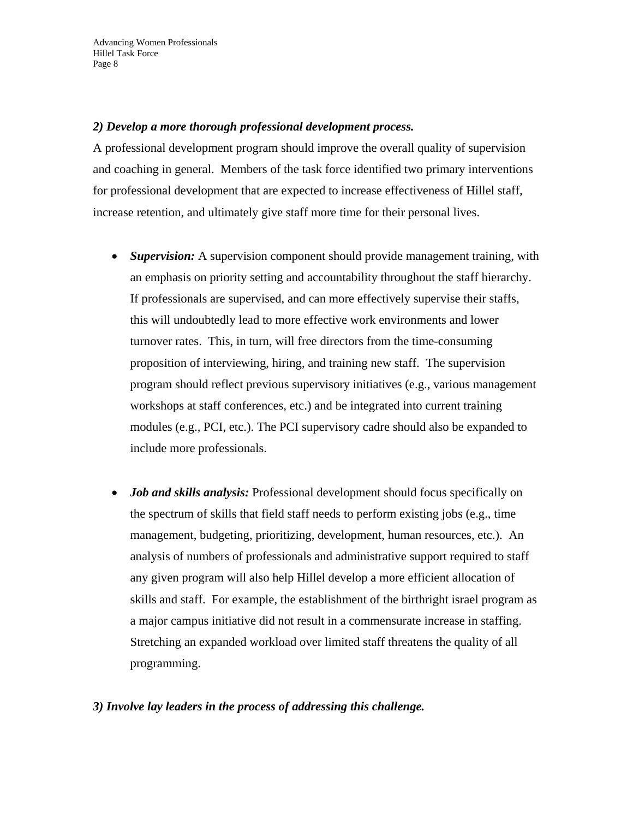### *2) Develop a more thorough professional development process.*

A professional development program should improve the overall quality of supervision and coaching in general. Members of the task force identified two primary interventions for professional development that are expected to increase effectiveness of Hillel staff, increase retention, and ultimately give staff more time for their personal lives.

- *Supervision:* A supervision component should provide management training, with an emphasis on priority setting and accountability throughout the staff hierarchy. If professionals are supervised, and can more effectively supervise their staffs, this will undoubtedly lead to more effective work environments and lower turnover rates. This, in turn, will free directors from the time-consuming proposition of interviewing, hiring, and training new staff. The supervision program should reflect previous supervisory initiatives (e.g., various management workshops at staff conferences, etc.) and be integrated into current training modules (e.g., PCI, etc.). The PCI supervisory cadre should also be expanded to include more professionals.
- *Job and skills analysis:* Professional development should focus specifically on the spectrum of skills that field staff needs to perform existing jobs (e.g., time management, budgeting, prioritizing, development, human resources, etc.). An analysis of numbers of professionals and administrative support required to staff any given program will also help Hillel develop a more efficient allocation of skills and staff. For example, the establishment of the birthright israel program as a major campus initiative did not result in a commensurate increase in staffing. Stretching an expanded workload over limited staff threatens the quality of all programming.

#### *3) Involve lay leaders in the process of addressing this challenge.*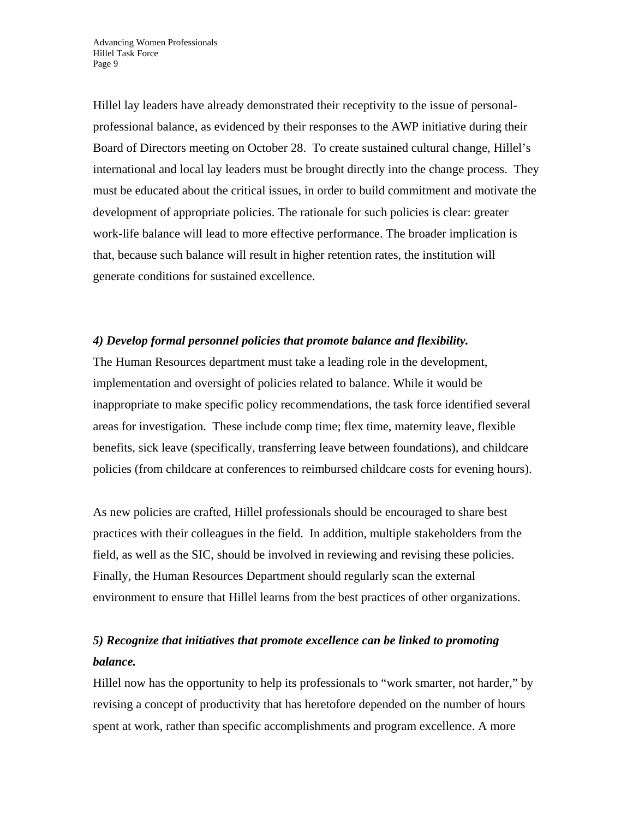Hillel lay leaders have already demonstrated their receptivity to the issue of personalprofessional balance, as evidenced by their responses to the AWP initiative during their Board of Directors meeting on October 28. To create sustained cultural change, Hillel's international and local lay leaders must be brought directly into the change process. They must be educated about the critical issues, in order to build commitment and motivate the development of appropriate policies. The rationale for such policies is clear: greater work-life balance will lead to more effective performance. The broader implication is that, because such balance will result in higher retention rates, the institution will generate conditions for sustained excellence.

# *4) Develop formal personnel policies that promote balance and flexibility.*

The Human Resources department must take a leading role in the development, implementation and oversight of policies related to balance. While it would be inappropriate to make specific policy recommendations, the task force identified several areas for investigation. These include comp time; flex time, maternity leave, flexible benefits, sick leave (specifically, transferring leave between foundations), and childcare policies (from childcare at conferences to reimbursed childcare costs for evening hours).

As new policies are crafted, Hillel professionals should be encouraged to share best practices with their colleagues in the field. In addition, multiple stakeholders from the field, as well as the SIC, should be involved in reviewing and revising these policies. Finally, the Human Resources Department should regularly scan the external environment to ensure that Hillel learns from the best practices of other organizations.

# *5) Recognize that initiatives that promote excellence can be linked to promoting balance.*

Hillel now has the opportunity to help its professionals to "work smarter, not harder," by revising a concept of productivity that has heretofore depended on the number of hours spent at work, rather than specific accomplishments and program excellence. A more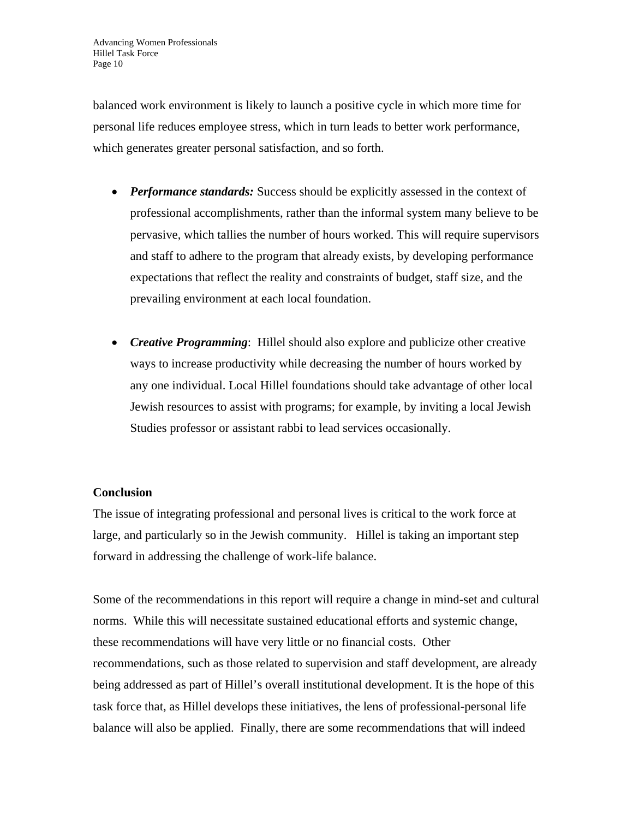balanced work environment is likely to launch a positive cycle in which more time for personal life reduces employee stress, which in turn leads to better work performance, which generates greater personal satisfaction, and so forth.

- *Performance standards:* Success should be explicitly assessed in the context of professional accomplishments, rather than the informal system many believe to be pervasive, which tallies the number of hours worked. This will require supervisors and staff to adhere to the program that already exists, by developing performance expectations that reflect the reality and constraints of budget, staff size, and the prevailing environment at each local foundation.
- *Creative Programming*: Hillel should also explore and publicize other creative ways to increase productivity while decreasing the number of hours worked by any one individual. Local Hillel foundations should take advantage of other local Jewish resources to assist with programs; for example, by inviting a local Jewish Studies professor or assistant rabbi to lead services occasionally.

#### **Conclusion**

The issue of integrating professional and personal lives is critical to the work force at large, and particularly so in the Jewish community. Hillel is taking an important step forward in addressing the challenge of work-life balance.

Some of the recommendations in this report will require a change in mind-set and cultural norms. While this will necessitate sustained educational efforts and systemic change, these recommendations will have very little or no financial costs. Other recommendations, such as those related to supervision and staff development, are already being addressed as part of Hillel's overall institutional development. It is the hope of this task force that, as Hillel develops these initiatives, the lens of professional-personal life balance will also be applied. Finally, there are some recommendations that will indeed